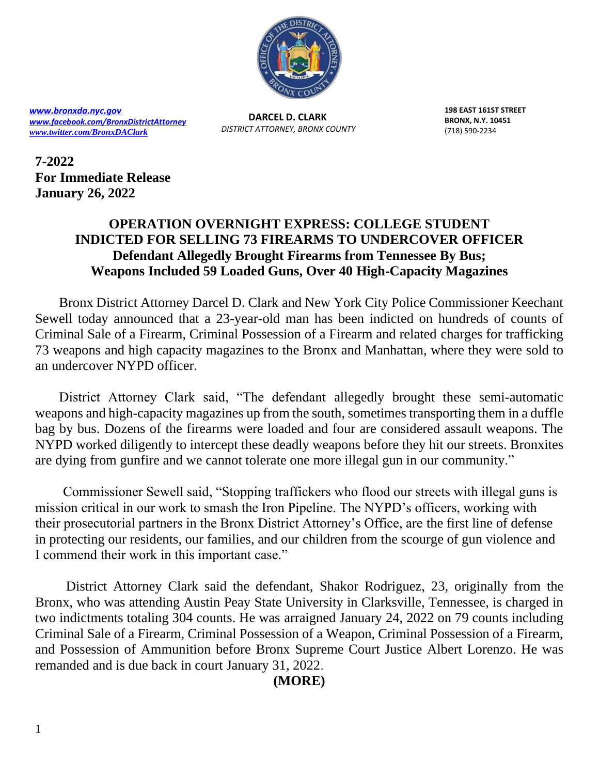

*[www.bronxda.nyc.gov](http://www.bronxda.nyc.gov/) [www.facebook.com/BronxDistrictAttorney](file://///bronxda.nycnet/shares/UNITS/PUBLIC-INFORMATION/Public-Information/2016/www.facebook.com/BronxDistrictAttorney) [www.twitter.com/BronxDAClark](file://///bronxda.nycnet/shares/UNITS/PUBLIC-INFORMATION/Public-Information/2016/www.twitter.com/BronxDAClark)*

**DARCEL D. CLARK**  *DISTRICT ATTORNEY, BRONX COUNTY* **198 EAST 161ST STREET BRONX, N.Y. 10451** (718) 590-2234

**7-2022 For Immediate Release January 26, 2022**

## **OPERATION OVERNIGHT EXPRESS: COLLEGE STUDENT INDICTED FOR SELLING 73 FIREARMS TO UNDERCOVER OFFICER Defendant Allegedly Brought Firearms from Tennessee By Bus; Weapons Included 59 Loaded Guns, Over 40 High-Capacity Magazines**

 Bronx District Attorney Darcel D. Clark and New York City Police Commissioner Keechant Sewell today announced that a 23-year-old man has been indicted on hundreds of counts of Criminal Sale of a Firearm, Criminal Possession of a Firearm and related charges for trafficking 73 weapons and high capacity magazines to the Bronx and Manhattan, where they were sold to an undercover NYPD officer.

 District Attorney Clark said, "The defendant allegedly brought these semi-automatic weapons and high-capacity magazines up from the south, sometimes transporting them in a duffle bag by bus. Dozens of the firearms were loaded and four are considered assault weapons. The NYPD worked diligently to intercept these deadly weapons before they hit our streets. Bronxites are dying from gunfire and we cannot tolerate one more illegal gun in our community."

 Commissioner Sewell said, "Stopping traffickers who flood our streets with illegal guns is mission critical in our work to smash the Iron Pipeline. The NYPD's officers, working with their prosecutorial partners in the Bronx District Attorney's Office, are the first line of defense in protecting our residents, our families, and our children from the scourge of gun violence and I commend their work in this important case."

 District Attorney Clark said the defendant, Shakor Rodriguez, 23, originally from the Bronx, who was attending Austin Peay State University in Clarksville, Tennessee, is charged in two indictments totaling 304 counts. He was arraigned January 24, 2022 on 79 counts including Criminal Sale of a Firearm, Criminal Possession of a Weapon, Criminal Possession of a Firearm, and Possession of Ammunition before Bronx Supreme Court Justice Albert Lorenzo. He was remanded and is due back in court January 31, 2022.

**(MORE)**